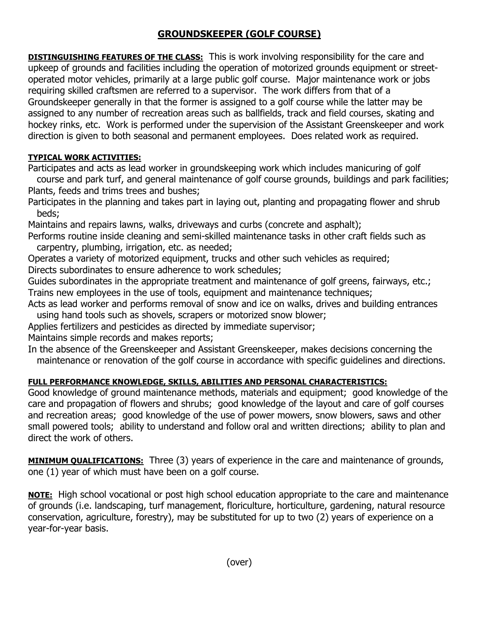## **GROUNDSKEEPER (GOLF COURSE)**

**DISTINGUISHING FEATURES OF THE CLASS:** This is work involving responsibility for the care and upkeep of grounds and facilities including the operation of motorized grounds equipment or streetoperated motor vehicles, primarily at a large public golf course. Major maintenance work or jobs requiring skilled craftsmen are referred to a supervisor. The work differs from that of a Groundskeeper generally in that the former is assigned to a golf course while the latter may be assigned to any number of recreation areas such as ballfields, track and field courses, skating and hockey rinks, etc. Work is performed under the supervision of the Assistant Greenskeeper and work direction is given to both seasonal and permanent employees. Does related work as required.

## **TYPICAL WORK ACTIVITIES:**

Participates and acts as lead worker in groundskeeping work which includes manicuring of golf course and park turf, and general maintenance of golf course grounds, buildings and park facilities; Plants, feeds and trims trees and bushes;

Participates in the planning and takes part in laying out, planting and propagating flower and shrub beds;

Maintains and repairs lawns, walks, driveways and curbs (concrete and asphalt);

Performs routine inside cleaning and semi-skilled maintenance tasks in other craft fields such as carpentry, plumbing, irrigation, etc. as needed;

Operates a variety of motorized equipment, trucks and other such vehicles as required; Directs subordinates to ensure adherence to work schedules;

Guides subordinates in the appropriate treatment and maintenance of golf greens, fairways, etc.; Trains new employees in the use of tools, equipment and maintenance techniques;

Acts as lead worker and performs removal of snow and ice on walks, drives and building entrances using hand tools such as shovels, scrapers or motorized snow blower;

Applies fertilizers and pesticides as directed by immediate supervisor;

Maintains simple records and makes reports;

In the absence of the Greenskeeper and Assistant Greenskeeper, makes decisions concerning the maintenance or renovation of the golf course in accordance with specific guidelines and directions.

## **FULL PERFORMANCE KNOWLEDGE, SKILLS, ABILITIES AND PERSONAL CHARACTERISTICS:**

Good knowledge of ground maintenance methods, materials and equipment; good knowledge of the care and propagation of flowers and shrubs; good knowledge of the layout and care of golf courses and recreation areas; good knowledge of the use of power mowers, snow blowers, saws and other small powered tools; ability to understand and follow oral and written directions; ability to plan and direct the work of others.

**MINIMUM QUALIFICATIONS:** Three (3) years of experience in the care and maintenance of grounds, one (1) year of which must have been on a golf course.

**NOTE:** High school vocational or post high school education appropriate to the care and maintenance of grounds (i.e. landscaping, turf management, floriculture, horticulture, gardening, natural resource conservation, agriculture, forestry), may be substituted for up to two (2) years of experience on a year-for-year basis.